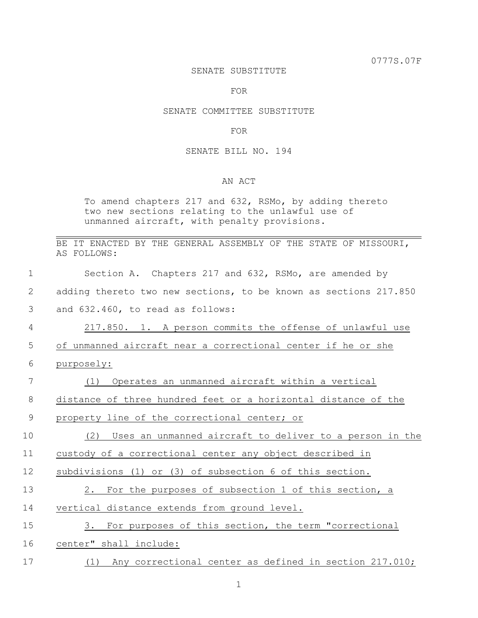0777S.07F

#### SENATE SUBSTITUTE

FOR

# SENATE COMMITTEE SUBSTITUTE

# FOR

### SENATE BILL NO. 194

# AN ACT

To amend chapters 217 and 632, RSMo, by adding thereto two new sections relating to the unlawful use of unmanned aircraft, with penalty provisions.

|  |             |  |  |  |  | BE IT ENACTED BY THE GENERAL ASSEMBLY OF THE STATE OF MISSOURI, |
|--|-------------|--|--|--|--|-----------------------------------------------------------------|
|  | AS FOLLOWS: |  |  |  |  |                                                                 |

| $\mathbf 1$    | Section A. Chapters 217 and 632, RSMo, are amended by            |
|----------------|------------------------------------------------------------------|
| 2              | adding thereto two new sections, to be known as sections 217.850 |
| 3              | and 632.460, to read as follows:                                 |
| $\overline{4}$ | 217.850. 1. A person commits the offense of unlawful use         |
| 5              | of unmanned aircraft near a correctional center if he or she     |
| 6              | purposely:                                                       |
| 7              | Operates an unmanned aircraft within a vertical<br>(1)           |
| 8              | distance of three hundred feet or a horizontal distance of the   |
| 9              | property line of the correctional center; or                     |
| 10             | Uses an unmanned aircraft to deliver to a person in the<br>(2)   |
| 11             | custody of a correctional center any object described in         |
| 12             | subdivisions (1) or (3) of subsection 6 of this section.         |
| 13             | 2. For the purposes of subsection 1 of this section, a           |
| 14             | vertical distance extends from ground level.                     |
| 15             | 3. For purposes of this section, the term "correctional          |
| 16             | center" shall include:                                           |
| 17             | (1) Any correctional center as defined in section 217.010;       |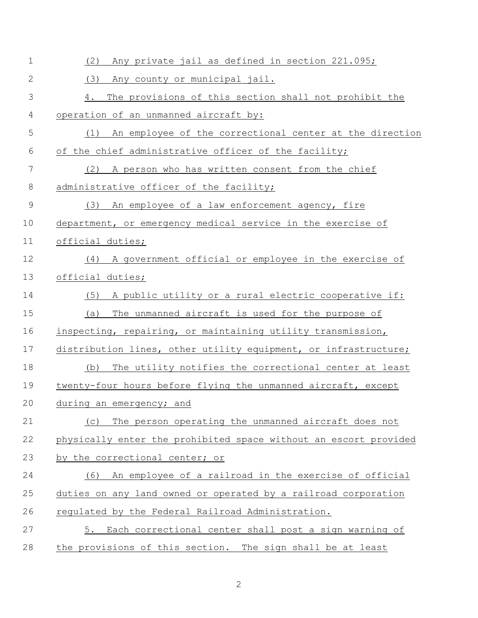| $\mathbf 1$    | (2)<br>Any private jail as defined in section 221.095;           |
|----------------|------------------------------------------------------------------|
| $\overline{2}$ | (3)<br>Any county or municipal jail.                             |
| 3              | The provisions of this section shall not prohibit the<br>4.      |
| 4              | operation of an unmanned aircraft by:                            |
| 5              | An employee of the correctional center at the direction<br>(1)   |
| 6              | of the chief administrative officer of the facility;             |
| 7              | A person who has written consent from the chief<br>(2)           |
| $8\,$          | administrative officer of the facility;                          |
| $\mathsf 9$    | (3)<br>An employee of a law enforcement agency, fire             |
| 10             | department, or emergency medical service in the exercise of      |
| 11             | official duties;                                                 |
| 12             | (4) A government official or employee in the exercise of         |
| 13             | official_duties;                                                 |
| 14             | A public utility or a rural electric cooperative if:<br>(5)      |
| 15             | (a)<br>The unmanned aircraft is used for the purpose of          |
| 16             | inspecting, repairing, or maintaining utility transmission,      |
| 17             | distribution lines, other utility equipment, or infrastructure;  |
| 18             | The utility notifies the correctional center at least<br>(b)     |
| 19             | twenty-four hours before flying the unmanned aircraft, except    |
| 20             | during an emergency; and                                         |
| 21             | The person operating the unmanned aircraft does not<br>(C)       |
| 22             | physically enter the prohibited space without an escort provided |
| 23             | by the correctional center; or                                   |
| 24             | An employee of a railroad in the exercise of official<br>(6)     |
| 25             | duties on any land owned or operated by a railroad corporation   |
| 26             | requlated by the Federal Railroad Administration.                |
| 27             | Each correctional center shall post a sign warning of<br>5.      |
| 28             | the provisions of this section. The sign shall be at least       |

2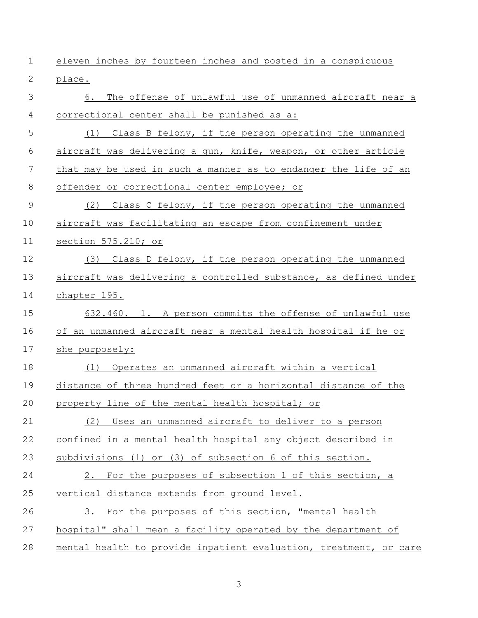| $\mathbf 1$ | eleven inches by fourteen inches and posted in a conspicuous      |
|-------------|-------------------------------------------------------------------|
| 2           | place.                                                            |
| 3           | The offense of unlawful use of unmanned aircraft near a<br>6.     |
| 4           | correctional center shall be punished as a:                       |
| 5           | (1) Class B felony, if the person operating the unmanned          |
| 6           | aircraft was delivering a gun, knife, weapon, or other article    |
| 7           | that may be used in such a manner as to endanger the life of an   |
| 8           | offender or correctional center employee; or                      |
| $\mathsf 9$ | (2)<br>Class C felony, if the person operating the unmanned       |
| 10          | aircraft was facilitating an escape from confinement under        |
| 11          | section 575.210; or                                               |
| 12          | Class D felony, if the person operating the unmanned<br>(3)       |
| 13          | aircraft was delivering a controlled substance, as defined under  |
| 14          | chapter 195.                                                      |
| 15          | 632.460. 1. A person commits the offense of unlawful use          |
| 16          | of an unmanned aircraft near a mental health hospital if he or    |
| 17          | she purposely:                                                    |
| 18          | Operates an unmanned aircraft within a vertical<br>(1)            |
| 19          | distance of three hundred feet or a horizontal distance of the    |
| 20          | property line of the mental health hospital; or                   |
| 21          | (2) Uses an unmanned aircraft to deliver to a person              |
| 22          | confined in a mental health hospital any object described in      |
| 23          | subdivisions (1) or (3) of subsection 6 of this section.          |
| 24          | 2. For the purposes of subsection 1 of this section, a            |
| 25          | vertical distance extends from ground level.                      |
| 26          | 3. For the purposes of this section, "mental health               |
| 27          | hospital" shall mean a facility operated by the department of     |
| 28          | mental health to provide inpatient evaluation, treatment, or care |

3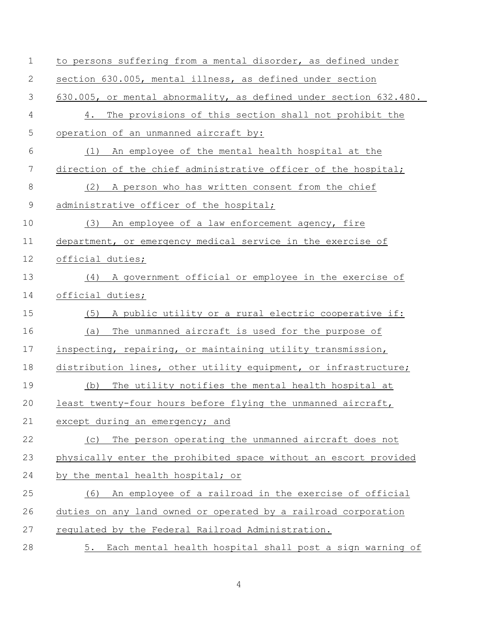| $\mathbf 1$ | to persons suffering from a mental disorder, as defined under     |
|-------------|-------------------------------------------------------------------|
| 2           | section 630.005, mental illness, as defined under section         |
| 3           | 630.005, or mental abnormality, as defined under section 632.480. |
| 4           | The provisions of this section shall not prohibit the<br>4.       |
| 5           | operation of an unmanned aircraft by:                             |
| 6           | An employee of the mental health hospital at the<br>(1)           |
| 7           | direction of the chief administrative officer of the hospital;    |
| $\,8\,$     | (2) A person who has written consent from the chief               |
| $\mathsf 9$ | administrative officer of the hospital;                           |
| 10          | (3) An employee of a law enforcement agency, fire                 |
| 11          | department, or emergency medical service in the exercise of       |
| 12          | official duties;                                                  |
| 13          | A government official or employee in the exercise of<br>(4)       |
| 14          | official duties;                                                  |
| 15          | A public utility or a rural electric cooperative if:<br>(5)       |
| 16          | The unmanned aircraft is used for the purpose of<br>(a)           |
| 17          | inspecting, repairing, or maintaining utility transmission,       |
| 18          | distribution lines, other utility equipment, or infrastructure;   |
| 19          | The utility notifies the mental health hospital at<br>(b)         |
| 20          | least twenty-four hours before flying the unmanned aircraft,      |
| 21          | except during an emergency; and                                   |
| 22          | The person operating the unmanned aircraft does not<br>(C)        |
| 23          | physically enter the prohibited space without an escort provided  |
| 24          | by the mental health hospital; or                                 |
| 25          | An employee of a railroad in the exercise of official<br>(6)      |
| 26          | duties on any land owned or operated by a railroad corporation    |
| 27          | regulated by the Federal Railroad Administration.                 |
| 28          | Each mental health hospital shall post a sign warning of<br>5.    |